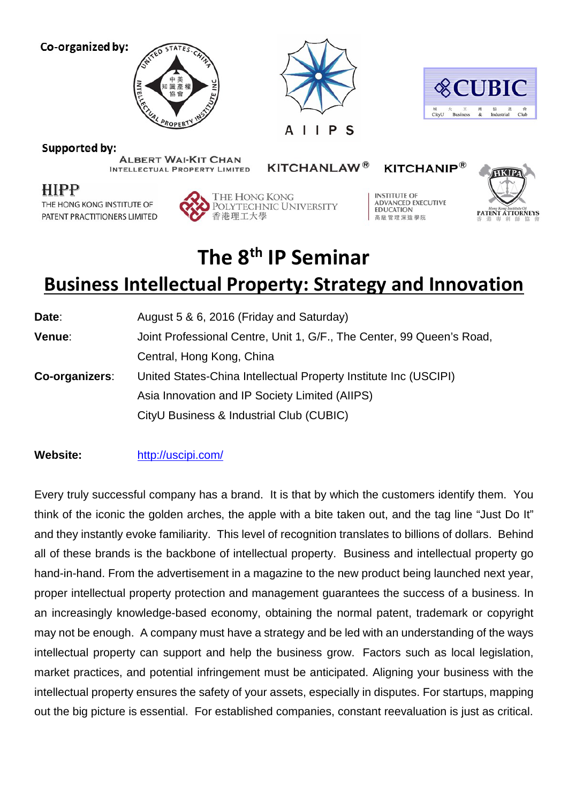Co-organized by:







Supported by:

THE HONG KONG INSTITUTE OF

PATENT PRACTITIONERS LIMITED

**HIPP** 

**ALBERT WAI-KIT CHAN** 

**KITCHANLAW®** 

**KITCHANIP®** 



**INTELLECTUAL PROPERTY LIMITED** 

POLYTECHNIC UNIVERSITY

THE HONG KONG

香港理工大學

**INSTITUTE OF ADVANCED EXECUTIVE** 

**EDUCATION** 

高級管理深造學院

## **The 8th IP Seminar**

## **Business Intellectual Property: Strategy and Innovation**

| Date:          | August 5 & 6, 2016 (Friday and Saturday)                              |
|----------------|-----------------------------------------------------------------------|
| Venue:         | Joint Professional Centre, Unit 1, G/F., The Center, 99 Queen's Road, |
|                | Central, Hong Kong, China                                             |
| Co-organizers: | United States-China Intellectual Property Institute Inc (USCIPI)      |
|                | Asia Innovation and IP Society Limited (AIIPS)                        |
|                | CityU Business & Industrial Club (CUBIC)                              |
|                |                                                                       |

## **Website:** <http://uscipi.com/>

Every truly successful company has a brand. It is that by which the customers identify them. You think of the iconic the golden arches, the apple with a bite taken out, and the tag line "Just Do It" and they instantly evoke familiarity. This level of recognition translates to billions of dollars. Behind all of these brands is the backbone of intellectual property. Business and intellectual property go hand-in-hand. From the advertisement in a magazine to the new product being launched next year, proper intellectual property protection and management guarantees the success of a business. In an increasingly knowledge-based economy, obtaining the normal patent, trademark or copyright may not be enough. A company must have a strategy and be led with an understanding of the ways intellectual property can support and help the business grow. Factors such as local legislation, market practices, and potential infringement must be anticipated. Aligning your business with the intellectual property ensures the safety of your assets, especially in disputes. For startups, mapping out the big picture is essential. For established companies, constant reevaluation is just as critical.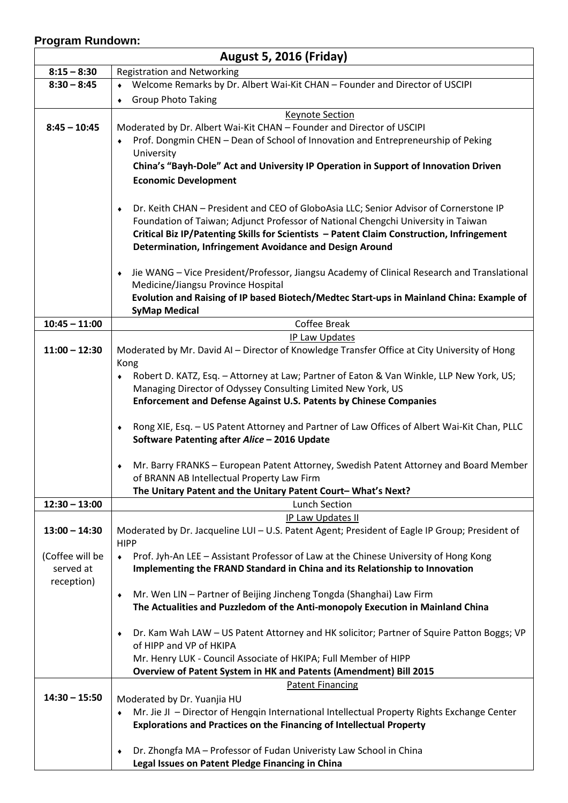## **Program Rundown:**

| <b>August 5, 2016 (Friday)</b>                                                                                |
|---------------------------------------------------------------------------------------------------------------|
| <b>Registration and Networking</b>                                                                            |
| Welcome Remarks by Dr. Albert Wai-Kit CHAN - Founder and Director of USCIPI                                   |
| <b>Group Photo Taking</b><br>$\blacklozenge$                                                                  |
| <b>Keynote Section</b>                                                                                        |
| Moderated by Dr. Albert Wai-Kit CHAN - Founder and Director of USCIPI                                         |
| Prof. Dongmin CHEN - Dean of School of Innovation and Entrepreneurship of Peking                              |
| University                                                                                                    |
| China's "Bayh-Dole" Act and University IP Operation in Support of Innovation Driven                           |
| <b>Economic Development</b>                                                                                   |
| Dr. Keith CHAN - President and CEO of GloboAsia LLC; Senior Advisor of Cornerstone IP<br>٠                    |
| Foundation of Taiwan; Adjunct Professor of National Chengchi University in Taiwan                             |
| Critical Biz IP/Patenting Skills for Scientists - Patent Claim Construction, Infringement                     |
| Determination, Infringement Avoidance and Design Around                                                       |
| Jie WANG - Vice President/Professor, Jiangsu Academy of Clinical Research and Translational                   |
| Medicine/Jiangsu Province Hospital                                                                            |
| Evolution and Raising of IP based Biotech/Medtec Start-ups in Mainland China: Example of                      |
| <b>SyMap Medical</b>                                                                                          |
| Coffee Break                                                                                                  |
| <b>IP Law Updates</b>                                                                                         |
| Moderated by Mr. David AI - Director of Knowledge Transfer Office at City University of Hong<br>Kong          |
| Robert D. KATZ, Esq. - Attorney at Law; Partner of Eaton & Van Winkle, LLP New York, US;                      |
| Managing Director of Odyssey Consulting Limited New York, US                                                  |
| <b>Enforcement and Defense Against U.S. Patents by Chinese Companies</b>                                      |
|                                                                                                               |
| Rong XIE, Esq. - US Patent Attorney and Partner of Law Offices of Albert Wai-Kit Chan, PLLC<br>۰              |
| Software Patenting after Alice - 2016 Update                                                                  |
| Mr. Barry FRANKS - European Patent Attorney, Swedish Patent Attorney and Board Member                         |
| of BRANN AB Intellectual Property Law Firm                                                                    |
| The Unitary Patent and the Unitary Patent Court-What's Next?                                                  |
| <b>Lunch Section</b>                                                                                          |
| IP Law Updates II                                                                                             |
| Moderated by Dr. Jacqueline LUI - U.S. Patent Agent; President of Eagle IP Group; President of<br><b>HIPP</b> |
| Prof. Jyh-An LEE - Assistant Professor of Law at the Chinese University of Hong Kong<br>$\bullet$             |
| Implementing the FRAND Standard in China and its Relationship to Innovation                                   |
|                                                                                                               |
| Mr. Wen LIN - Partner of Beijing Jincheng Tongda (Shanghai) Law Firm<br>$\blacklozenge$                       |
| The Actualities and Puzzledom of the Anti-monopoly Execution in Mainland China                                |
| Dr. Kam Wah LAW - US Patent Attorney and HK solicitor; Partner of Squire Patton Boggs; VP<br>٠                |
| of HIPP and VP of HKIPA                                                                                       |
| Mr. Henry LUK - Council Associate of HKIPA; Full Member of HIPP                                               |
| Overview of Patent System in HK and Patents (Amendment) Bill 2015                                             |
|                                                                                                               |
| <b>Patent Financing</b>                                                                                       |
| Moderated by Dr. Yuanjia HU                                                                                   |
| Mr. Jie JI - Director of Hengqin International Intellectual Property Rights Exchange Center                   |
| <b>Explorations and Practices on the Financing of Intellectual Property</b>                                   |
| Dr. Zhongfa MA - Professor of Fudan Univeristy Law School in China<br>$\blacklozenge$                         |
|                                                                                                               |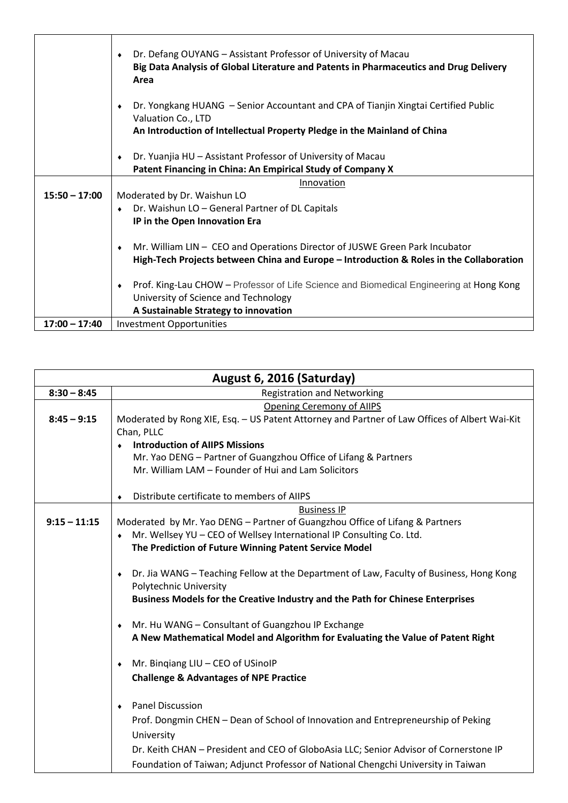|                 | Dr. Defang OUYANG - Assistant Professor of University of Macau<br>Big Data Analysis of Global Literature and Patents in Pharmaceutics and Drug Delivery<br>Area        |
|-----------------|------------------------------------------------------------------------------------------------------------------------------------------------------------------------|
|                 | Dr. Yongkang HUANG – Senior Accountant and CPA of Tianjin Xingtai Certified Public<br>Valuation Co., LTD                                                               |
|                 | An Introduction of Intellectual Property Pledge in the Mainland of China                                                                                               |
|                 | Dr. Yuanjia HU - Assistant Professor of University of Macau<br>Patent Financing in China: An Empirical Study of Company X                                              |
|                 | Innovation                                                                                                                                                             |
| $15:50 - 17:00$ | Moderated by Dr. Waishun LO                                                                                                                                            |
|                 | Dr. Waishun LO - General Partner of DL Capitals                                                                                                                        |
|                 | IP in the Open Innovation Era                                                                                                                                          |
|                 | Mr. William LIN - CEO and Operations Director of JUSWE Green Park Incubator<br>High-Tech Projects between China and Europe - Introduction & Roles in the Collaboration |
|                 | Prof. King-Lau CHOW – Professor of Life Science and Biomedical Engineering at Hong Kong                                                                                |
|                 | University of Science and Technology                                                                                                                                   |
|                 | A Sustainable Strategy to innovation                                                                                                                                   |
| $17:00 - 17:40$ | <b>Investment Opportunities</b>                                                                                                                                        |

| August 6, 2016 (Saturday) |                                                                                               |  |
|---------------------------|-----------------------------------------------------------------------------------------------|--|
| $8:30 - 8:45$             | <b>Registration and Networking</b>                                                            |  |
|                           | <b>Opening Ceremony of AIIPS</b>                                                              |  |
| $8:45 - 9:15$             | Moderated by Rong XIE, Esq. - US Patent Attorney and Partner of Law Offices of Albert Wai-Kit |  |
|                           | Chan, PLLC                                                                                    |  |
|                           | <b>Introduction of AIIPS Missions</b>                                                         |  |
|                           | Mr. Yao DENG - Partner of Guangzhou Office of Lifang & Partners                               |  |
|                           | Mr. William LAM - Founder of Hui and Lam Solicitors                                           |  |
|                           | Distribute certificate to members of AIIPS                                                    |  |
|                           | <b>Business IP</b>                                                                            |  |
| $9:15 - 11:15$            | Moderated by Mr. Yao DENG - Partner of Guangzhou Office of Lifang & Partners                  |  |
|                           | Mr. Wellsey YU - CEO of Wellsey International IP Consulting Co. Ltd.                          |  |
|                           | The Prediction of Future Winning Patent Service Model                                         |  |
|                           |                                                                                               |  |
|                           | Dr. Jia WANG - Teaching Fellow at the Department of Law, Faculty of Business, Hong Kong       |  |
|                           | Polytechnic University                                                                        |  |
|                           | Business Models for the Creative Industry and the Path for Chinese Enterprises                |  |
|                           | Mr. Hu WANG - Consultant of Guangzhou IP Exchange                                             |  |
|                           | A New Mathematical Model and Algorithm for Evaluating the Value of Patent Right               |  |
|                           |                                                                                               |  |
|                           | Mr. Bingiang LIU - CEO of USinoIP                                                             |  |
|                           | <b>Challenge &amp; Advantages of NPE Practice</b>                                             |  |
|                           |                                                                                               |  |
|                           | <b>Panel Discussion</b>                                                                       |  |
|                           | Prof. Dongmin CHEN - Dean of School of Innovation and Entrepreneurship of Peking              |  |
|                           | University                                                                                    |  |
|                           | Dr. Keith CHAN - President and CEO of GloboAsia LLC; Senior Advisor of Cornerstone IP         |  |
|                           | Foundation of Taiwan; Adjunct Professor of National Chengchi University in Taiwan             |  |
|                           |                                                                                               |  |